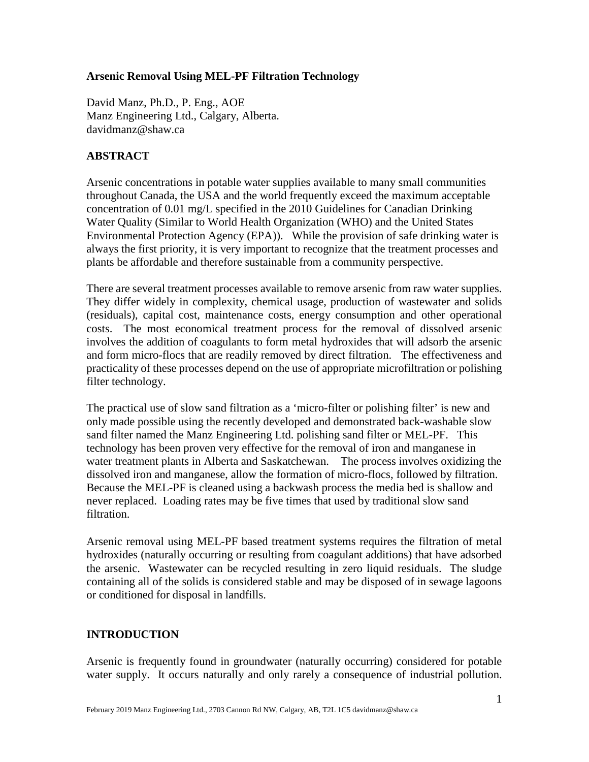### **Arsenic Removal Using MEL-PF Filtration Technology**

David Manz, Ph.D., P. Eng., AOE Manz Engineering Ltd., Calgary, Alberta. davidmanz@shaw.ca

## **ABSTRACT**

Arsenic concentrations in potable water supplies available to many small communities throughout Canada, the USA and the world frequently exceed the maximum acceptable concentration of 0.01 mg/L specified in the 2010 Guidelines for Canadian Drinking Water Quality (Similar to World Health Organization (WHO) and the United States Environmental Protection Agency (EPA)). While the provision of safe drinking water is always the first priority, it is very important to recognize that the treatment processes and plants be affordable and therefore sustainable from a community perspective.

There are several treatment processes available to remove arsenic from raw water supplies. They differ widely in complexity, chemical usage, production of wastewater and solids (residuals), capital cost, maintenance costs, energy consumption and other operational costs. The most economical treatment process for the removal of dissolved arsenic involves the addition of coagulants to form metal hydroxides that will adsorb the arsenic and form micro-flocs that are readily removed by direct filtration. The effectiveness and practicality of these processes depend on the use of appropriate microfiltration or polishing filter technology.

The practical use of slow sand filtration as a 'micro-filter or polishing filter' is new and only made possible using the recently developed and demonstrated back-washable slow sand filter named the Manz Engineering Ltd. polishing sand filter or MEL-PF. This technology has been proven very effective for the removal of iron and manganese in water treatment plants in Alberta and Saskatchewan. The process involves oxidizing the dissolved iron and manganese, allow the formation of micro-flocs, followed by filtration. Because the MEL-PF is cleaned using a backwash process the media bed is shallow and never replaced. Loading rates may be five times that used by traditional slow sand filtration.

Arsenic removal using MEL-PF based treatment systems requires the filtration of metal hydroxides (naturally occurring or resulting from coagulant additions) that have adsorbed the arsenic. Wastewater can be recycled resulting in zero liquid residuals. The sludge containing all of the solids is considered stable and may be disposed of in sewage lagoons or conditioned for disposal in landfills.

### **INTRODUCTION**

Arsenic is frequently found in groundwater (naturally occurring) considered for potable water supply. It occurs naturally and only rarely a consequence of industrial pollution.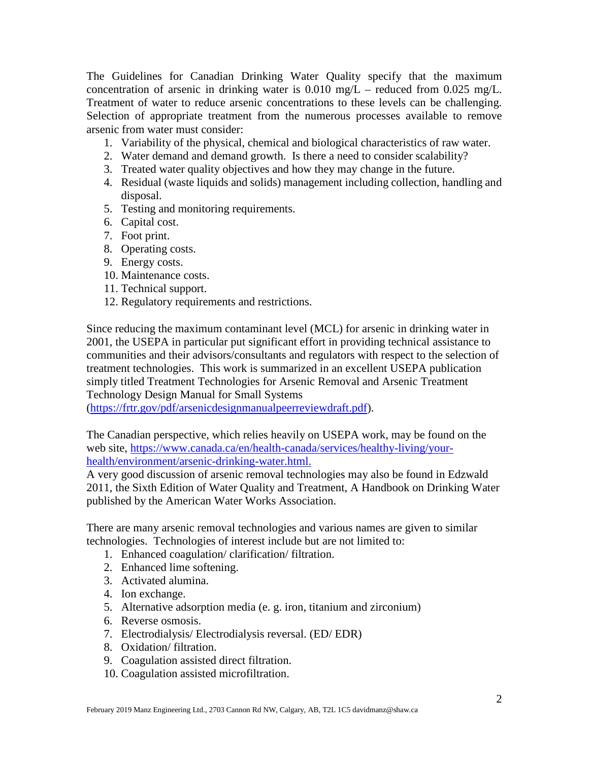The Guidelines for Canadian Drinking Water Quality specify that the maximum concentration of arsenic in drinking water is  $0.010$  mg/L – reduced from  $0.025$  mg/L. Treatment of water to reduce arsenic concentrations to these levels can be challenging. Selection of appropriate treatment from the numerous processes available to remove arsenic from water must consider:

- 1. Variability of the physical, chemical and biological characteristics of raw water.
- 2. Water demand and demand growth. Is there a need to consider scalability?
- 3. Treated water quality objectives and how they may change in the future.
- 4. Residual (waste liquids and solids) management including collection, handling and disposal.
- 5. Testing and monitoring requirements.
- 6. Capital cost.
- 7. Foot print.
- 8. Operating costs.
- 9. Energy costs.
- 10. Maintenance costs.
- 11. Technical support.
- 12. Regulatory requirements and restrictions.

Since reducing the maximum contaminant level (MCL) for arsenic in drinking water in 2001, the USEPA in particular put significant effort in providing technical assistance to communities and their advisors/consultants and regulators with respect to the selection of treatment technologies. This work is summarized in an excellent USEPA publication simply titled Treatment Technologies for Arsenic Removal and Arsenic Treatment Technology Design Manual for Small Systems

[\(https://frtr.gov/pdf/arsenicdesignmanualpeerreviewdraft.pdf\)](https://frtr.gov/pdf/arsenicdesignmanualpeerreviewdraft.pdf).

The Canadian perspective, which relies heavily on USEPA work, may be found on the web site, [https://www.canada.ca/en/health-canada/services/healthy-living/your](https://www.canada.ca/en/health-canada/services/healthy-living/your-health/environment/arsenic-drinking-water.html)[health/environment/arsenic-drinking-water.html.](https://www.canada.ca/en/health-canada/services/healthy-living/your-health/environment/arsenic-drinking-water.html)

A very good discussion of arsenic removal technologies may also be found in Edzwald 2011, the Sixth Edition of Water Quality and Treatment, A Handbook on Drinking Water published by the American Water Works Association.

There are many arsenic removal technologies and various names are given to similar technologies. Technologies of interest include but are not limited to:

- 1. Enhanced coagulation/ clarification/ filtration.
- 2. Enhanced lime softening.
- 3. Activated alumina.
- 4. Ion exchange.
- 5. Alternative adsorption media (e. g. iron, titanium and zirconium)
- 6. Reverse osmosis.
- 7. Electrodialysis/ Electrodialysis reversal. (ED/ EDR)
- 8. Oxidation/ filtration.
- 9. Coagulation assisted direct filtration.
- 10. Coagulation assisted microfiltration.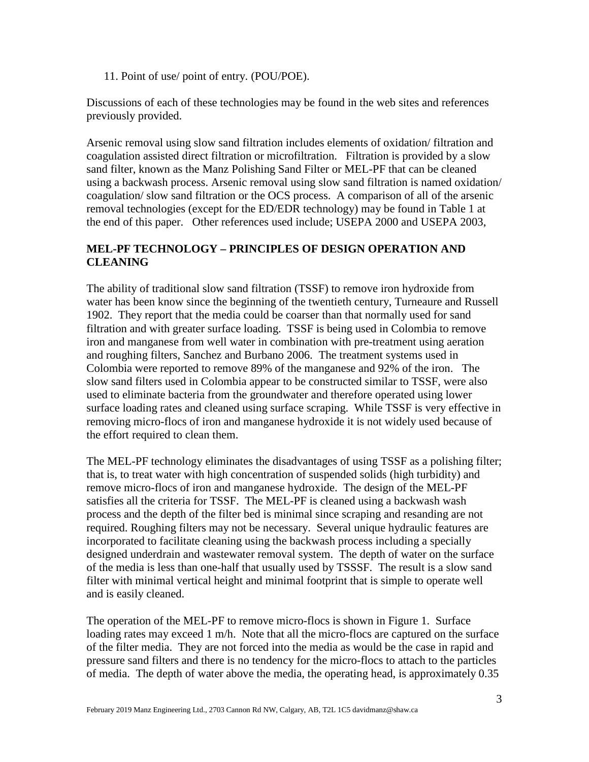11. Point of use/ point of entry. (POU/POE).

Discussions of each of these technologies may be found in the web sites and references previously provided.

Arsenic removal using slow sand filtration includes elements of oxidation/ filtration and coagulation assisted direct filtration or microfiltration. Filtration is provided by a slow sand filter, known as the Manz Polishing Sand Filter or MEL-PF that can be cleaned using a backwash process. Arsenic removal using slow sand filtration is named oxidation/ coagulation/ slow sand filtration or the OCS process. A comparison of all of the arsenic removal technologies (except for the ED/EDR technology) may be found in Table 1 at the end of this paper. Other references used include; USEPA 2000 and USEPA 2003,

## **MEL-PF TECHNOLOGY – PRINCIPLES OF DESIGN OPERATION AND CLEANING**

The ability of traditional slow sand filtration (TSSF) to remove iron hydroxide from water has been know since the beginning of the twentieth century, Turneaure and Russell 1902. They report that the media could be coarser than that normally used for sand filtration and with greater surface loading. TSSF is being used in Colombia to remove iron and manganese from well water in combination with pre-treatment using aeration and roughing filters, Sanchez and Burbano 2006. The treatment systems used in Colombia were reported to remove 89% of the manganese and 92% of the iron. The slow sand filters used in Colombia appear to be constructed similar to TSSF, were also used to eliminate bacteria from the groundwater and therefore operated using lower surface loading rates and cleaned using surface scraping. While TSSF is very effective in removing micro-flocs of iron and manganese hydroxide it is not widely used because of the effort required to clean them.

The MEL-PF technology eliminates the disadvantages of using TSSF as a polishing filter; that is, to treat water with high concentration of suspended solids (high turbidity) and remove micro-flocs of iron and manganese hydroxide. The design of the MEL-PF satisfies all the criteria for TSSF. The MEL-PF is cleaned using a backwash wash process and the depth of the filter bed is minimal since scraping and resanding are not required. Roughing filters may not be necessary. Several unique hydraulic features are incorporated to facilitate cleaning using the backwash process including a specially designed underdrain and wastewater removal system. The depth of water on the surface of the media is less than one-half that usually used by TSSSF. The result is a slow sand filter with minimal vertical height and minimal footprint that is simple to operate well and is easily cleaned.

The operation of the MEL-PF to remove micro-flocs is shown in Figure 1. Surface loading rates may exceed 1 m/h. Note that all the micro-flocs are captured on the surface of the filter media. They are not forced into the media as would be the case in rapid and pressure sand filters and there is no tendency for the micro-flocs to attach to the particles of media. The depth of water above the media, the operating head, is approximately 0.35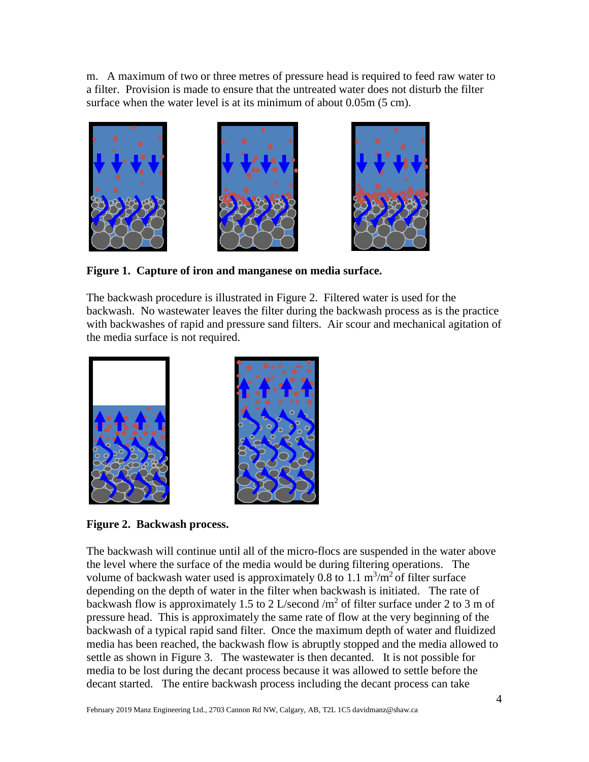m. A maximum of two or three metres of pressure head is required to feed raw water to a filter. Provision is made to ensure that the untreated water does not disturb the filter surface when the water level is at its minimum of about 0.05m (5 cm).



**Figure 1. Capture of iron and manganese on media surface.** 

The backwash procedure is illustrated in Figure 2. Filtered water is used for the backwash. No wastewater leaves the filter during the backwash process as is the practice with backwashes of rapid and pressure sand filters. Air scour and mechanical agitation of the media surface is not required.



**Figure 2. Backwash process.**

The backwash will continue until all of the micro-flocs are suspended in the water above the level where the surface of the media would be during filtering operations. The volume of backwash water used is approximately 0.8 to 1.1  $\text{m}^3/\text{m}^2$  of filter surface depending on the depth of water in the filter when backwash is initiated. The rate of backwash flow is approximately 1.5 to 2 L/second /m<sup>2</sup> of filter surface under 2 to 3 m of pressure head. This is approximately the same rate of flow at the very beginning of the backwash of a typical rapid sand filter. Once the maximum depth of water and fluidized media has been reached, the backwash flow is abruptly stopped and the media allowed to settle as shown in Figure 3. The wastewater is then decanted. It is not possible for media to be lost during the decant process because it was allowed to settle before the decant started. The entire backwash process including the decant process can take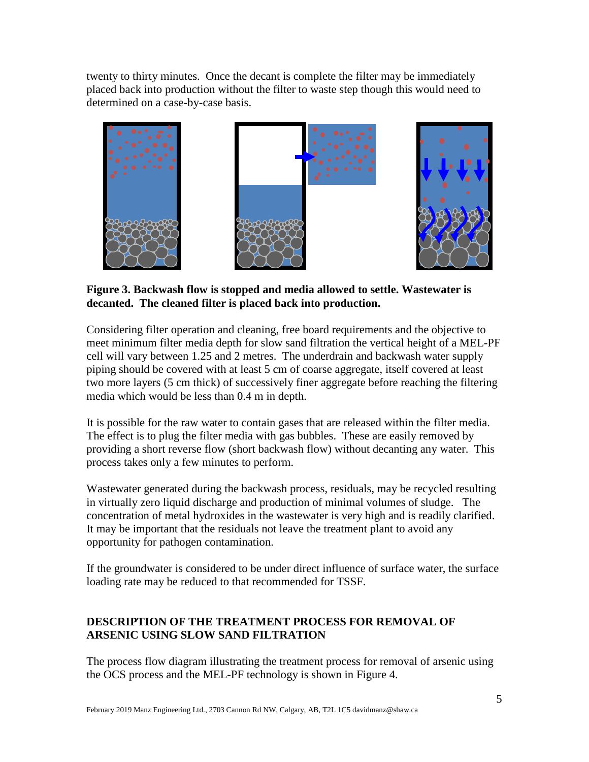twenty to thirty minutes. Once the decant is complete the filter may be immediately placed back into production without the filter to waste step though this would need to determined on a case-by-case basis.



**Figure 3. Backwash flow is stopped and media allowed to settle. Wastewater is decanted. The cleaned filter is placed back into production.**

Considering filter operation and cleaning, free board requirements and the objective to meet minimum filter media depth for slow sand filtration the vertical height of a MEL-PF cell will vary between 1.25 and 2 metres. The underdrain and backwash water supply piping should be covered with at least 5 cm of coarse aggregate, itself covered at least two more layers (5 cm thick) of successively finer aggregate before reaching the filtering media which would be less than 0.4 m in depth.

It is possible for the raw water to contain gases that are released within the filter media. The effect is to plug the filter media with gas bubbles. These are easily removed by providing a short reverse flow (short backwash flow) without decanting any water. This process takes only a few minutes to perform.

Wastewater generated during the backwash process, residuals, may be recycled resulting in virtually zero liquid discharge and production of minimal volumes of sludge. The concentration of metal hydroxides in the wastewater is very high and is readily clarified. It may be important that the residuals not leave the treatment plant to avoid any opportunity for pathogen contamination.

If the groundwater is considered to be under direct influence of surface water, the surface loading rate may be reduced to that recommended for TSSF.

# **DESCRIPTION OF THE TREATMENT PROCESS FOR REMOVAL OF ARSENIC USING SLOW SAND FILTRATION**

The process flow diagram illustrating the treatment process for removal of arsenic using the OCS process and the MEL-PF technology is shown in Figure 4.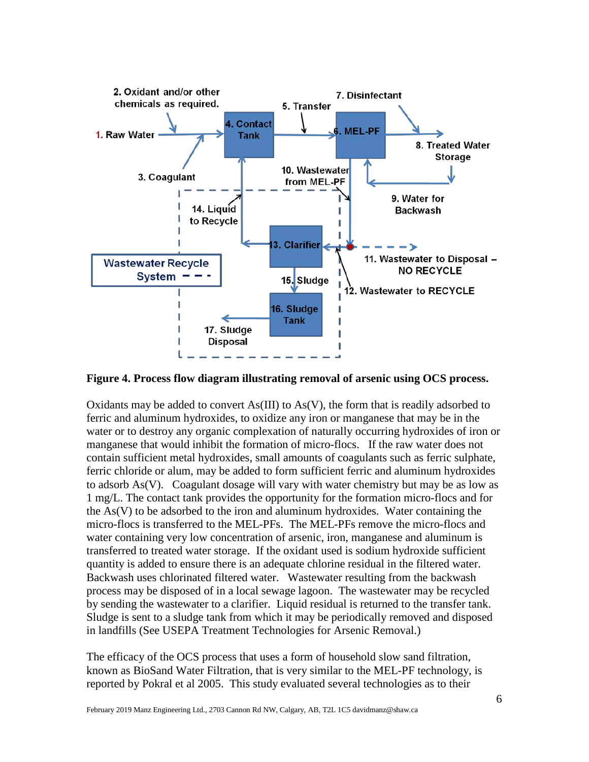

**Figure 4. Process flow diagram illustrating removal of arsenic using OCS process.**

Oxidants may be added to convert  $As(III)$  to  $As(V)$ , the form that is readily adsorbed to ferric and aluminum hydroxides, to oxidize any iron or manganese that may be in the water or to destroy any organic complexation of naturally occurring hydroxides of iron or manganese that would inhibit the formation of micro-flocs. If the raw water does not contain sufficient metal hydroxides, small amounts of coagulants such as ferric sulphate, ferric chloride or alum, may be added to form sufficient ferric and aluminum hydroxides to adsorb As(V). Coagulant dosage will vary with water chemistry but may be as low as 1 mg/L. The contact tank provides the opportunity for the formation micro-flocs and for the As(V) to be adsorbed to the iron and aluminum hydroxides. Water containing the micro-flocs is transferred to the MEL-PFs. The MEL-PFs remove the micro-flocs and water containing very low concentration of arsenic, iron, manganese and aluminum is transferred to treated water storage. If the oxidant used is sodium hydroxide sufficient quantity is added to ensure there is an adequate chlorine residual in the filtered water. Backwash uses chlorinated filtered water. Wastewater resulting from the backwash process may be disposed of in a local sewage lagoon. The wastewater may be recycled by sending the wastewater to a clarifier. Liquid residual is returned to the transfer tank. Sludge is sent to a sludge tank from which it may be periodically removed and disposed in landfills (See USEPA Treatment Technologies for Arsenic Removal.)

The efficacy of the OCS process that uses a form of household slow sand filtration, known as BioSand Water Filtration, that is very similar to the MEL-PF technology, is reported by Pokral et al 2005. This study evaluated several technologies as to their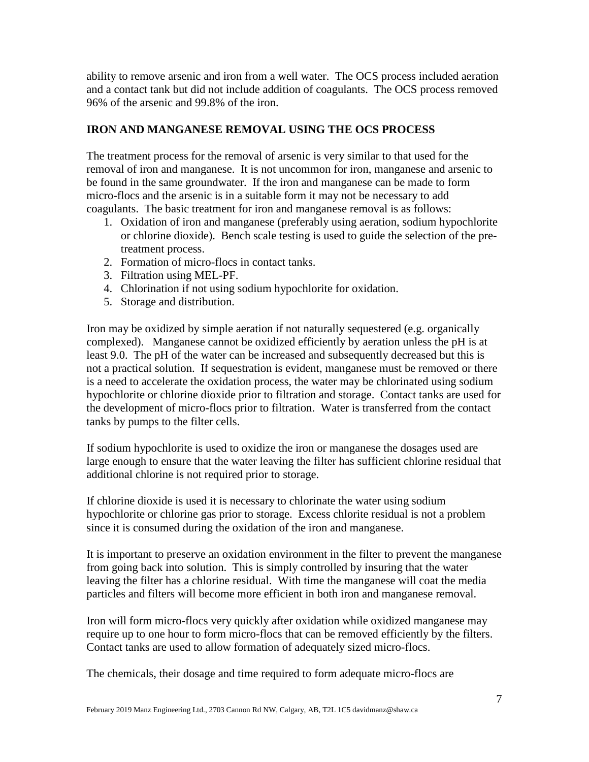ability to remove arsenic and iron from a well water. The OCS process included aeration and a contact tank but did not include addition of coagulants. The OCS process removed 96% of the arsenic and 99.8% of the iron.

## **IRON AND MANGANESE REMOVAL USING THE OCS PROCESS**

The treatment process for the removal of arsenic is very similar to that used for the removal of iron and manganese. It is not uncommon for iron, manganese and arsenic to be found in the same groundwater. If the iron and manganese can be made to form micro-flocs and the arsenic is in a suitable form it may not be necessary to add coagulants. The basic treatment for iron and manganese removal is as follows:

- 1. Oxidation of iron and manganese (preferably using aeration, sodium hypochlorite or chlorine dioxide). Bench scale testing is used to guide the selection of the pretreatment process.
- 2. Formation of micro-flocs in contact tanks.
- 3. Filtration using MEL-PF.
- 4. Chlorination if not using sodium hypochlorite for oxidation.
- 5. Storage and distribution.

Iron may be oxidized by simple aeration if not naturally sequestered (e.g. organically complexed). Manganese cannot be oxidized efficiently by aeration unless the pH is at least 9.0. The pH of the water can be increased and subsequently decreased but this is not a practical solution. If sequestration is evident, manganese must be removed or there is a need to accelerate the oxidation process, the water may be chlorinated using sodium hypochlorite or chlorine dioxide prior to filtration and storage. Contact tanks are used for the development of micro-flocs prior to filtration. Water is transferred from the contact tanks by pumps to the filter cells.

If sodium hypochlorite is used to oxidize the iron or manganese the dosages used are large enough to ensure that the water leaving the filter has sufficient chlorine residual that additional chlorine is not required prior to storage.

If chlorine dioxide is used it is necessary to chlorinate the water using sodium hypochlorite or chlorine gas prior to storage. Excess chlorite residual is not a problem since it is consumed during the oxidation of the iron and manganese.

It is important to preserve an oxidation environment in the filter to prevent the manganese from going back into solution. This is simply controlled by insuring that the water leaving the filter has a chlorine residual. With time the manganese will coat the media particles and filters will become more efficient in both iron and manganese removal.

Iron will form micro-flocs very quickly after oxidation while oxidized manganese may require up to one hour to form micro-flocs that can be removed efficiently by the filters. Contact tanks are used to allow formation of adequately sized micro-flocs.

The chemicals, their dosage and time required to form adequate micro-flocs are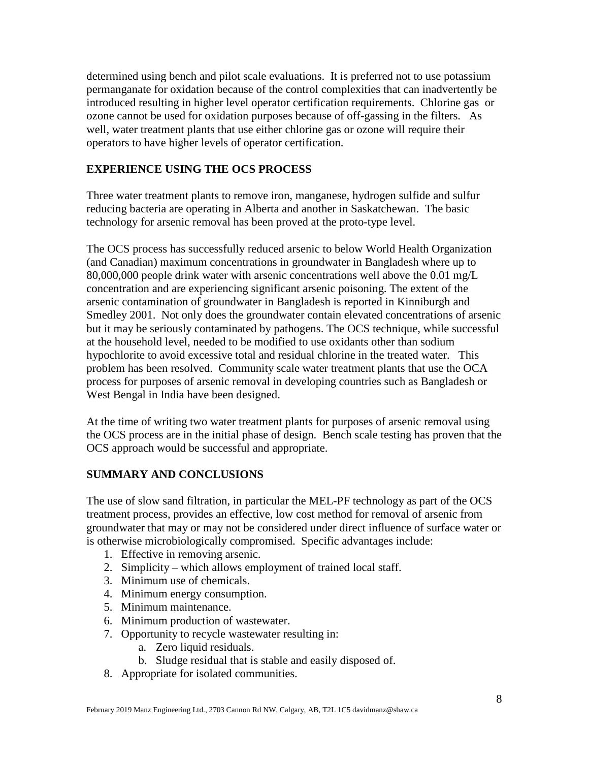determined using bench and pilot scale evaluations. It is preferred not to use potassium permanganate for oxidation because of the control complexities that can inadvertently be introduced resulting in higher level operator certification requirements. Chlorine gas or ozone cannot be used for oxidation purposes because of off-gassing in the filters. As well, water treatment plants that use either chlorine gas or ozone will require their operators to have higher levels of operator certification.

## **EXPERIENCE USING THE OCS PROCESS**

Three water treatment plants to remove iron, manganese, hydrogen sulfide and sulfur reducing bacteria are operating in Alberta and another in Saskatchewan. The basic technology for arsenic removal has been proved at the proto-type level.

The OCS process has successfully reduced arsenic to below World Health Organization (and Canadian) maximum concentrations in groundwater in Bangladesh where up to 80,000,000 people drink water with arsenic concentrations well above the 0.01 mg/L concentration and are experiencing significant arsenic poisoning. The extent of the arsenic contamination of groundwater in Bangladesh is reported in Kinniburgh and Smedley 2001. Not only does the groundwater contain elevated concentrations of arsenic but it may be seriously contaminated by pathogens. The OCS technique, while successful at the household level, needed to be modified to use oxidants other than sodium hypochlorite to avoid excessive total and residual chlorine in the treated water. This problem has been resolved. Community scale water treatment plants that use the OCA process for purposes of arsenic removal in developing countries such as Bangladesh or West Bengal in India have been designed.

At the time of writing two water treatment plants for purposes of arsenic removal using the OCS process are in the initial phase of design. Bench scale testing has proven that the OCS approach would be successful and appropriate.

### **SUMMARY AND CONCLUSIONS**

The use of slow sand filtration, in particular the MEL-PF technology as part of the OCS treatment process, provides an effective, low cost method for removal of arsenic from groundwater that may or may not be considered under direct influence of surface water or is otherwise microbiologically compromised. Specific advantages include:

- 1. Effective in removing arsenic.
- 2. Simplicity which allows employment of trained local staff.
- 3. Minimum use of chemicals.
- 4. Minimum energy consumption.
- 5. Minimum maintenance.
- 6. Minimum production of wastewater.
- 7. Opportunity to recycle wastewater resulting in:
	- a. Zero liquid residuals.
	- b. Sludge residual that is stable and easily disposed of.
- 8. Appropriate for isolated communities.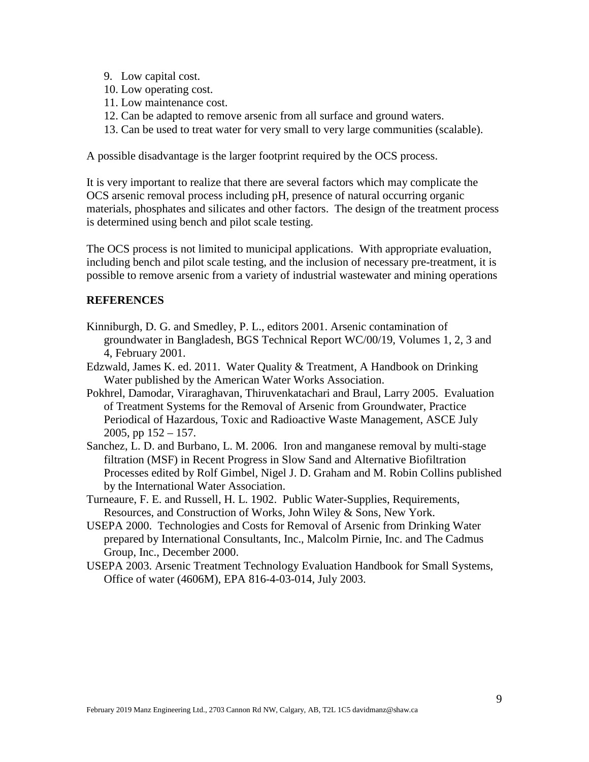- 9. Low capital cost.
- 10. Low operating cost.
- 11. Low maintenance cost.
- 12. Can be adapted to remove arsenic from all surface and ground waters.
- 13. Can be used to treat water for very small to very large communities (scalable).

A possible disadvantage is the larger footprint required by the OCS process.

It is very important to realize that there are several factors which may complicate the OCS arsenic removal process including pH, presence of natural occurring organic materials, phosphates and silicates and other factors. The design of the treatment process is determined using bench and pilot scale testing.

The OCS process is not limited to municipal applications. With appropriate evaluation, including bench and pilot scale testing, and the inclusion of necessary pre-treatment, it is possible to remove arsenic from a variety of industrial wastewater and mining operations

### **REFERENCES**

- Kinniburgh, D. G. and Smedley, P. L., editors 2001. Arsenic contamination of groundwater in Bangladesh, BGS Technical Report WC/00/19, Volumes 1, 2, 3 and 4, February 2001.
- Edzwald, James K. ed. 2011. Water Quality & Treatment, A Handbook on Drinking Water published by the American Water Works Association.
- Pokhrel, Damodar, Viraraghavan, Thiruvenkatachari and Braul, Larry 2005. Evaluation of Treatment Systems for the Removal of Arsenic from Groundwater, Practice Periodical of Hazardous, Toxic and Radioactive Waste Management, ASCE July 2005, pp  $152 - 157$ .
- Sanchez, L. D. and Burbano, L. M. 2006. Iron and manganese removal by multi-stage filtration (MSF) in Recent Progress in Slow Sand and Alternative Biofiltration Processes edited by Rolf Gimbel, Nigel J. D. Graham and M. Robin Collins published by the International Water Association.
- Turneaure, F. E. and Russell, H. L. 1902. Public Water-Supplies, Requirements, Resources, and Construction of Works, John Wiley & Sons, New York.
- USEPA 2000. Technologies and Costs for Removal of Arsenic from Drinking Water prepared by International Consultants, Inc., Malcolm Pirnie, Inc. and The Cadmus Group, Inc., December 2000.
- USEPA 2003. Arsenic Treatment Technology Evaluation Handbook for Small Systems, Office of water (4606M), EPA 816-4-03-014, July 2003.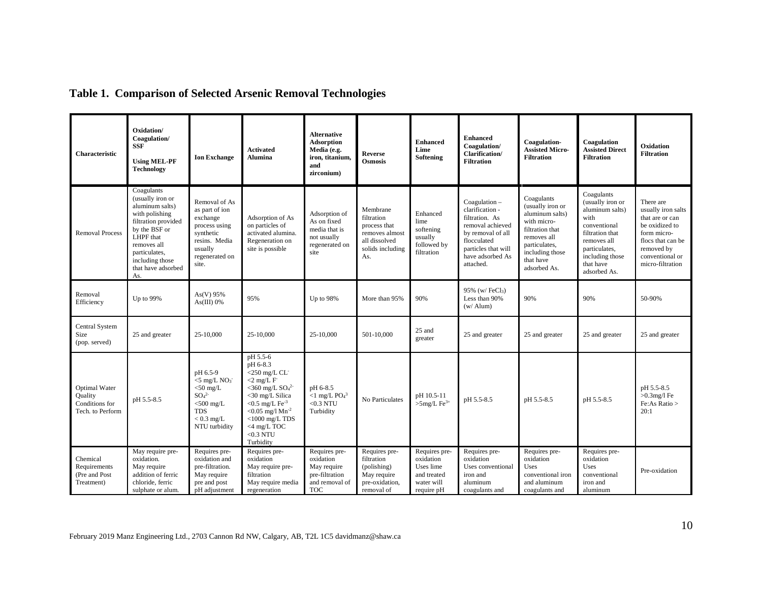| <b>Characteristic</b>                                          | Oxidation/<br>Coagulation/<br><b>SSF</b><br><b>Using MEL-PF</b><br><b>Technology</b>                                                                                                                     | <b>Ion Exchange</b>                                                                                                                                  | <b>Activated</b><br><b>Alumina</b>                                                                                                                                                                                                                   | <b>Alternative</b><br><b>Adsorption</b><br>Media (e.g.<br>iron, titanium,<br>and<br>zirconium) | <b>Reverse</b><br><b>Osmosis</b>                                                                     | <b>Enhanced</b><br>Lime<br>Softening                                               | <b>Enhanced</b><br>Coagulation/<br>Clarification/<br><b>Filtration</b>                                                                                            | Coagulation-<br><b>Assisted Micro-</b><br><b>Filtration</b>                                                                                                         | Coagulation<br><b>Assisted Direct</b><br><b>Filtration</b>                                                                                                                   | Oxidation<br><b>Filtration</b>                                                                                                                                |
|----------------------------------------------------------------|----------------------------------------------------------------------------------------------------------------------------------------------------------------------------------------------------------|------------------------------------------------------------------------------------------------------------------------------------------------------|------------------------------------------------------------------------------------------------------------------------------------------------------------------------------------------------------------------------------------------------------|------------------------------------------------------------------------------------------------|------------------------------------------------------------------------------------------------------|------------------------------------------------------------------------------------|-------------------------------------------------------------------------------------------------------------------------------------------------------------------|---------------------------------------------------------------------------------------------------------------------------------------------------------------------|------------------------------------------------------------------------------------------------------------------------------------------------------------------------------|---------------------------------------------------------------------------------------------------------------------------------------------------------------|
| <b>Removal Process</b>                                         | Coagulants<br>(usually iron or<br>aluminum salts)<br>with polishing<br>filtration provided<br>by the BSF or<br>LHPF that<br>removes all<br>particulates,<br>including those<br>that have adsorbed<br>As. | Removal of As<br>as part of ion<br>exchange<br>process using<br>synthetic<br>resins. Media<br>usually<br>regenerated on<br>site.                     | Adsorption of As<br>on particles of<br>activated alumina.<br>Regeneration on<br>site is possible                                                                                                                                                     | Adsorption of<br>As on fixed<br>media that is<br>not usually<br>regenerated on<br>site         | Membrane<br>filtration<br>process that<br>removes almost<br>all dissolved<br>solids including<br>As. | Enhanced<br>lime<br>softening<br>usually<br>followed by<br>filtration              | Coagulation-<br>clarification -<br>filtration. As<br>removal achieved<br>by removal of all<br>flocculated<br>particles that will<br>have adsorbed As<br>attached. | Coagulants<br>(usually iron or<br>aluminum salts)<br>with micro-<br>filtration that<br>removes all<br>particulates,<br>including those<br>that have<br>adsorbed As. | Coagulants<br>(usually iron or<br>aluminum salts)<br>with<br>conventional<br>filtration that<br>removes all<br>particulates,<br>including those<br>that have<br>adsorbed As. | There are<br>usually iron salts<br>that are or can<br>be oxidized to<br>form micro-<br>flocs that can be<br>removed by<br>conventional or<br>micro-filtration |
| Removal<br>Efficiency                                          | Up to 99%                                                                                                                                                                                                | As(V) 95%<br>As(III) 0%                                                                                                                              | 95%                                                                                                                                                                                                                                                  | Up to 98%                                                                                      | More than 95%                                                                                        | 90%                                                                                | 95% (w/FeCl3)<br>Less than 90%<br>$(w / \text{Alum})$                                                                                                             | 90%                                                                                                                                                                 | 90%                                                                                                                                                                          | 50-90%                                                                                                                                                        |
| Central System<br>Size<br>(pop. served)                        | 25 and greater                                                                                                                                                                                           | 25-10,000                                                                                                                                            | 25-10.000                                                                                                                                                                                                                                            | 25-10,000                                                                                      | 501-10.000                                                                                           | 25 and<br>greater                                                                  | 25 and greater                                                                                                                                                    | 25 and greater                                                                                                                                                      | 25 and greater                                                                                                                                                               | 25 and greater                                                                                                                                                |
| Optimal Water<br>Quality<br>Conditions for<br>Tech. to Perform | pH 5.5-8.5                                                                                                                                                                                               | pH 6.5-9<br>$<$ 5 mg/L NO <sub>3</sub><br>$<$ 50 mg/L<br>SO <sub>4</sub> <sup>2</sup><br>$<$ 500 mg/L<br><b>TDS</b><br>$< 0.3$ mg/L<br>NTU turbidity | pH 5.5-6<br>pH 6-8.3<br>$<$ 250 mg/L CL<br>$<$ 2 mg/L F<br>$<$ 360 mg/L SO <sub>4</sub> <sup>2-</sup><br><30 mg/L Silica<br>$<$ 0.5 mg/L Fe <sup>-3</sup><br>$< 0.05$ mg/l $Mn-2$<br>$<$ 1000 mg/L TDS<br>$<$ 4 mg/L TOC<br>$<$ 0.3 NTU<br>Turbidity | pH 6-8.5<br>$<$ 1 mg/L PO <sub>4</sub> <sup>3</sup><br>$<$ 0.3 NTU<br>Turbidity                | No Particulates                                                                                      | pH 10.5-11<br>$>\!\!5\mathrm{mg/L}$ Fe $^{3+}$                                     | pH 5.5-8.5                                                                                                                                                        | pH 5.5-8.5                                                                                                                                                          | pH 5.5-8.5                                                                                                                                                                   | pH 5.5-8.5<br>$>0.3$ mg/l Fe<br>Fe:As Ratio ><br>20:1                                                                                                         |
| Chemical<br>Requirements<br>(Pre and Post<br>Treatment)        | May require pre-<br>oxidation.<br>May require<br>addition of ferric<br>chloride, ferric<br>sulphate or alum                                                                                              | Requires pre-<br>oxidation and<br>pre-filtration.<br>May require<br>pre and post<br>pH adjustment                                                    | Requires pre-<br>oxidation<br>May require pre-<br>filtration<br>May require media<br>regeneration                                                                                                                                                    | Requires pre-<br>oxidation<br>May require<br>pre-filtration<br>and removal of<br><b>TOC</b>    | Requires pre-<br>filtration<br>(polishing)<br>May require<br>pre-oxidation,<br>removal of            | Requires pre-<br>oxidation<br>Uses lime<br>and treated<br>water will<br>require pH | Requires pre-<br>oxidation<br>Uses conventional<br>iron and<br>aluminum<br>coagulants and                                                                         | Requires pre-<br>oxidation<br><b>Uses</b><br>conventional iron<br>and aluminum<br>coagulants and                                                                    | Requires pre-<br>oxidation<br>Uses<br>conventional<br>iron and<br>aluminum                                                                                                   | Pre-oxidation                                                                                                                                                 |

# **Table 1. Comparison of Selected Arsenic Removal Technologies**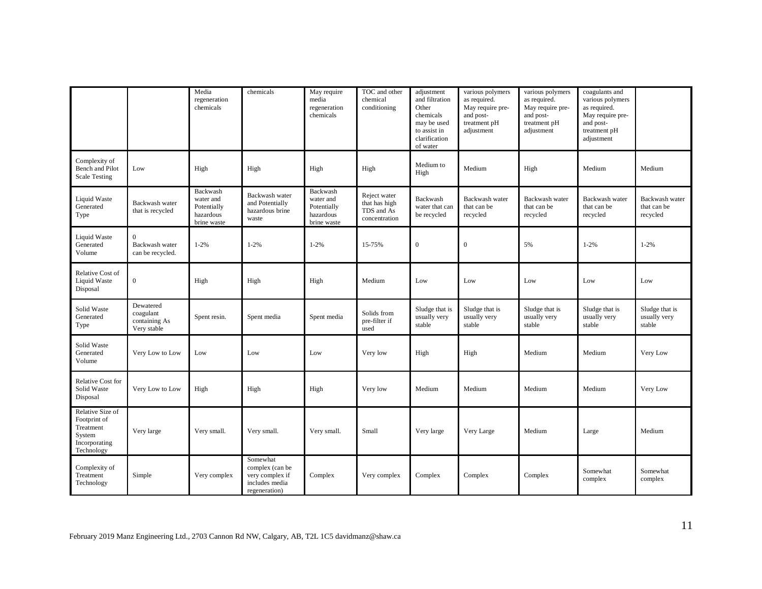|                                                                                        |                                                        | Media<br>regeneration<br>chemicals                               | chemicals                                                                         | May require<br>media<br>regeneration<br>chemicals                | TOC and other<br>chemical<br>conditioning                    | adjustment<br>and filtration<br>Other<br>chemicals<br>may be used<br>to assist in<br>clarification<br>of water | various polymers<br>as required.<br>May require pre-<br>and post-<br>treatment pH<br>adjustment | various polymers<br>as required.<br>May require pre-<br>and post-<br>treatment pH<br>adjustment | coagulants and<br>various polymers<br>as required.<br>May require pre-<br>and post-<br>treatment pH<br>adjustment |                                           |
|----------------------------------------------------------------------------------------|--------------------------------------------------------|------------------------------------------------------------------|-----------------------------------------------------------------------------------|------------------------------------------------------------------|--------------------------------------------------------------|----------------------------------------------------------------------------------------------------------------|-------------------------------------------------------------------------------------------------|-------------------------------------------------------------------------------------------------|-------------------------------------------------------------------------------------------------------------------|-------------------------------------------|
| Complexity of<br>Bench and Pilot<br><b>Scale Testing</b>                               | Low                                                    | High                                                             | High                                                                              | High                                                             | High                                                         | Medium to<br>High                                                                                              | Medium                                                                                          | High                                                                                            | Medium                                                                                                            | Medium                                    |
| Liquid Waste<br>Generated<br>Type                                                      | Backwash water<br>that is recycled                     | Backwash<br>water and<br>Potentially<br>hazardous<br>brine waste | Backwash water<br>and Potentially<br>hazardous brine<br>waste                     | Backwash<br>water and<br>Potentially<br>hazardous<br>brine waste | Reject water<br>that has high<br>TDS and As<br>concentration | Backwash<br>water that can<br>be recycled                                                                      | Backwash water<br>that can be<br>recycled                                                       | Backwash water<br>that can be<br>recycled                                                       | Backwash water<br>that can be<br>recycled                                                                         | Backwash water<br>that can be<br>recycled |
| Liquid Waste<br>Generated<br>Volume                                                    | $\overline{0}$<br>Backwash water<br>can be recycled.   | $1 - 2%$                                                         | $1 - 2%$                                                                          | $1 - 2%$                                                         | 15-75%                                                       | $\mathbf{0}$                                                                                                   | $\boldsymbol{0}$                                                                                | 5%                                                                                              | $1 - 2%$                                                                                                          | $1 - 2%$                                  |
| Relative Cost of<br>Liquid Waste<br>Disposal                                           | $\boldsymbol{0}$                                       | High                                                             | High                                                                              | High                                                             | Medium                                                       | Low                                                                                                            | Low                                                                                             | Low                                                                                             | Low                                                                                                               | Low                                       |
| Solid Waste<br>Generated<br>Type                                                       | Dewatered<br>coagulant<br>containing As<br>Very stable | Spent resin.                                                     | Spent media                                                                       | Spent media                                                      | Solids from<br>pre-filter if<br>used                         | Sludge that is<br>usually very<br>stable                                                                       | Sludge that is<br>usually very<br>stable                                                        | Sludge that is<br>usually very<br>stable                                                        | Sludge that is<br>usually very<br>stable                                                                          | Sludge that is<br>usually very<br>stable  |
| Solid Waste<br>Generated<br>Volume                                                     | Very Low to Low                                        | Low                                                              | Low                                                                               | Low                                                              | Very low                                                     | High                                                                                                           | High                                                                                            | Medium                                                                                          | Medium                                                                                                            | Very Low                                  |
| Relative Cost for<br>Solid Waste<br>Disposal                                           | Very Low to Low                                        | High                                                             | High                                                                              | High                                                             | Very low                                                     | Medium                                                                                                         | Medium                                                                                          | Medium                                                                                          | Medium                                                                                                            | Very Low                                  |
| Relative Size of<br>Footprint of<br>Treatment<br>System<br>Incorporating<br>Technology | Very large                                             | Very small.                                                      | Very small.                                                                       | Very small.                                                      | Small                                                        | Very large                                                                                                     | Very Large                                                                                      | Medium                                                                                          | Large                                                                                                             | Medium                                    |
| Complexity of<br>Treatment<br>Technology                                               | Simple                                                 | Very complex                                                     | Somewhat<br>complex (can be<br>very complex if<br>includes media<br>regeneration) | Complex                                                          | Very complex                                                 | Complex                                                                                                        | Complex                                                                                         | Complex                                                                                         | Somewhat<br>complex                                                                                               | Somewhat<br>complex                       |